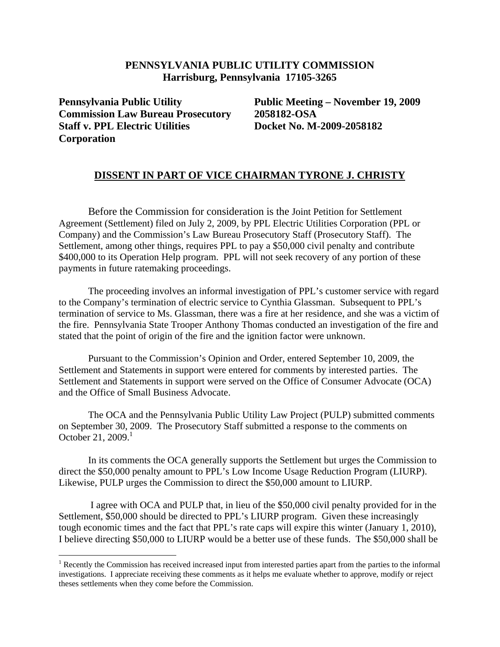## **PENNSYLVANIA PUBLIC UTILITY COMMISSION Harrisburg, Pennsylvania 17105-3265**

**Pennsylvania Public Utility Commission Law Bureau Prosecutory Staff v. PPL Electric Utilities Corporation** 

1

 **Public Meeting – November 19, 2009 2058182-OSA Docket No. M-2009-2058182** 

## **DISSENT IN PART OF VICE CHAIRMAN TYRONE J. CHRISTY**

 Before the Commission for consideration is the Joint Petition for Settlement Agreement (Settlement) filed on July 2, 2009, by PPL Electric Utilities Corporation (PPL or Company) and the Commission's Law Bureau Prosecutory Staff (Prosecutory Staff). The Settlement, among other things, requires PPL to pay a \$50,000 civil penalty and contribute \$400,000 to its Operation Help program. PPL will not seek recovery of any portion of these payments in future ratemaking proceedings.

 The proceeding involves an informal investigation of PPL's customer service with regard to the Company's termination of electric service to Cynthia Glassman. Subsequent to PPL's termination of service to Ms. Glassman, there was a fire at her residence, and she was a victim of the fire. Pennsylvania State Trooper Anthony Thomas conducted an investigation of the fire and stated that the point of origin of the fire and the ignition factor were unknown.

 Pursuant to the Commission's Opinion and Order, entered September 10, 2009, the Settlement and Statements in support were entered for comments by interested parties. The Settlement and Statements in support were served on the Office of Consumer Advocate (OCA) and the Office of Small Business Advocate.

The OCA and the Pennsylvania Public Utility Law Project (PULP) submitted comments on September 30, 2009. The Prosecutory Staff submitted a response to the comments on October 21, 2009. $1$ 

In its comments the OCA generally supports the Settlement but urges the Commission to direct the \$50,000 penalty amount to PPL's Low Income Usage Reduction Program (LIURP). Likewise, PULP urges the Commission to direct the \$50,000 amount to LIURP.

 I agree with OCA and PULP that, in lieu of the \$50,000 civil penalty provided for in the Settlement, \$50,000 should be directed to PPL's LIURP program. Given these increasingly tough economic times and the fact that PPL's rate caps will expire this winter (January 1, 2010), I believe directing \$50,000 to LIURP would be a better use of these funds. The \$50,000 shall be

<sup>&</sup>lt;sup>1</sup> Recently the Commission has received increased input from interested parties apart from the parties to the informal investigations. I appreciate receiving these comments as it helps me evaluate whether to approve, modify or reject theses settlements when they come before the Commission.